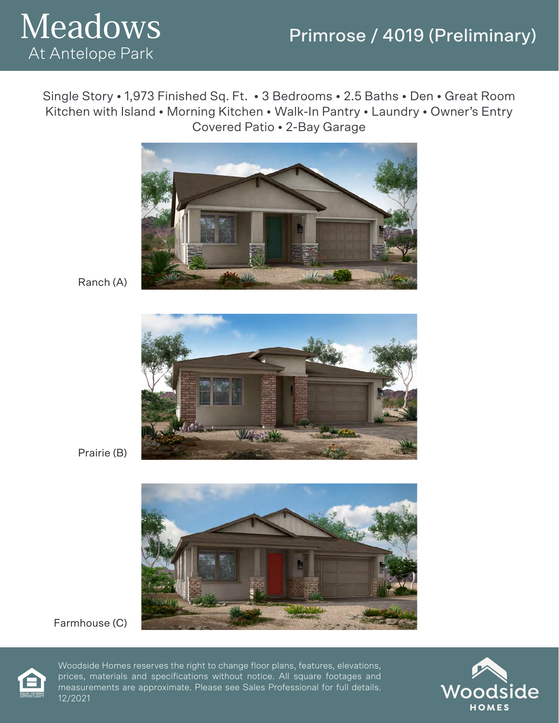# Primrose / 4019 (Preliminary)



Single Story • 1,973 Finished Sq. Ft. • 3 Bedrooms • 2.5 Baths • Den • Great Room Kitchen with Island • Morning Kitchen • Walk-In Pantry • Laundry • Owner's Entry Covered Patio • 2-Bay Garage



Ranch (A)



Prairie (B)



Farmhouse (C)



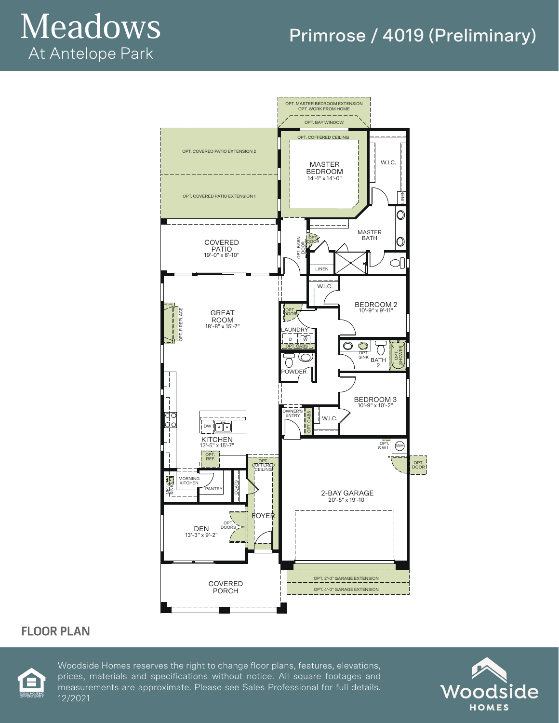# Meadows At Antelope Park

# Primrose / 4019 (Preliminary)



#### **FLOOR PLAN**



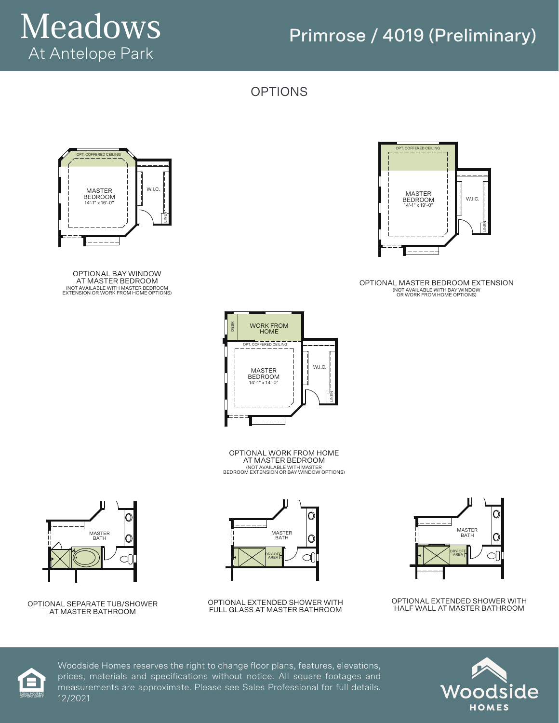

# Primrose / 4019 (Preliminary)

OPTIONS



OPTIONAL MASTER BEDROOM EXTENSION (NOT AVAILABLE WITH BAY WINDOW OR WORK FROM HOME OPTIONS)



OPTIONAL BAY WINDOW AT MASTER BEDROOM (NOT AVAILABLE WITH MASTER BEDROOM EXTENSION OR WORK FROM HOME OPTIONS)



OPTIONAL WORK FROM HOME AT MASTER BEDROOM (NOT AVAILABLE WITH MASTER BEDROOM EXTENSION OR BAY WINDOW OPTIONS)



OPTIONAL EXTENDED SHOWER WITH FULL GLASS AT MASTER BATHROOM



OPTIONAL EXTENDED SHOWER WITH HALF WALL AT MASTER BATHROOM







OPTIONAL SEPARATE TUB/SHOWER AT MASTER BATHROOM